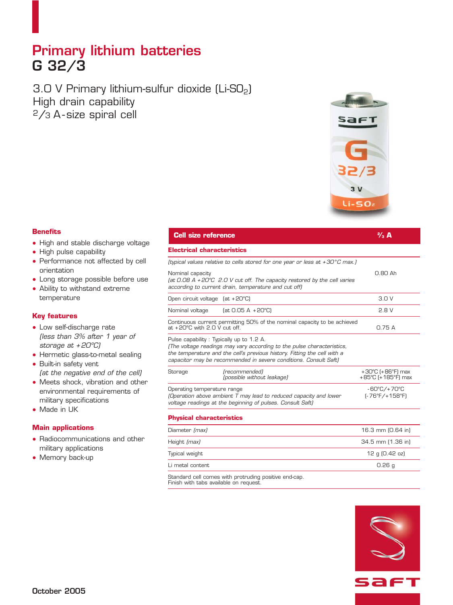## **Primary lithium batteries G 32/3**

3.0 V Primary lithium-sulfur dioxide (Li-SO<sub>2</sub>) High drain capability 2/3 A - size spiral cell



**⁄3 A**

#### **Benefits**

- High and stable discharge voltage
- High pulse capability
- Performance not affected by cell orientation
- Long storage possible before use
- Ability to withstand extreme temperature

#### **Key features**

- Low self-discharge rate *(less than 3% after 1 year of storage at + 20ºC)*
- Hermetic glass-to-metal sealing
- Built-in safety vent *(at the negative end of the cell)*
- Meets shock, vibration and other environmental requirements of military specifications
- Made in UK

### **Main applications**

- Radiocommunications and other military applications
- Memory back-up

# **Cell size reference <sup>2</sup>**

## **Electrical characteristics**

|  | (typical values relative to cells stored for one year or less at $+30^{\circ}$ C max.) |  |  |  |  |  |  |  |
|--|----------------------------------------------------------------------------------------|--|--|--|--|--|--|--|
|  |                                                                                        |  |  |  |  |  |  |  |

Nominal capacity **0.80 Ah** *(at 0.08 A + 20°C 2.0 V cut off. The capacity restored by the cell varies according to current drain, temperature and cut off)*

| Open circuit voltage (at +20°C)                                                                                                                                                                                                                                    |                                                                    | 3.0V                                                         |  |  |  |
|--------------------------------------------------------------------------------------------------------------------------------------------------------------------------------------------------------------------------------------------------------------------|--------------------------------------------------------------------|--------------------------------------------------------------|--|--|--|
| Nominal voltage                                                                                                                                                                                                                                                    | $[at 0.05 A + 20^{\circ}C]$                                        | 2.8V                                                         |  |  |  |
| Continuous current permitting 50% of the nominal capacity to be achieved<br>at +20°C with 2.0 V cut off.                                                                                                                                                           | 0.75A                                                              |                                                              |  |  |  |
| Pulse capability: Typically up to 1.2 A.<br>(The voltage readings may vary according to the pulse characteristics,<br>the temperature and the cell's previous history. Fitting the cell with a<br>capacitor may be recommended in severe conditions. Consult Saft) |                                                                    |                                                              |  |  |  |
| Storage                                                                                                                                                                                                                                                            | (recommended)<br>(possible without leakage)                        | $+30^{\circ}$ C (+86 $^{\circ}$ F) max<br>+85°C (+185°F) max |  |  |  |
| Operating temperature range<br>(Operation above ambient T may lead to reduced capacity and lower                                                                                                                                                                   | $-60^{\circ}$ C/+70 $^{\circ}$ C<br>$[-76^{\circ}F/+158^{\circ}F]$ |                                                              |  |  |  |

## *voltage readings at the beginning of pulses. Consult Saft)* **Physical characteristics**

| .                                                    |                   |
|------------------------------------------------------|-------------------|
| Diameter (max)                                       | 16.3 mm (0.64 in) |
| Height (max)                                         | 34.5 mm (1.36 in) |
| Typical weight                                       | 12 g (0.42 oz)    |
| Li metal content                                     | 0.26q             |
| Standard call compe with protruding positive end-can |                   |

Standard cell comes with protruding positive end-cap. Finish with tabs available on request.